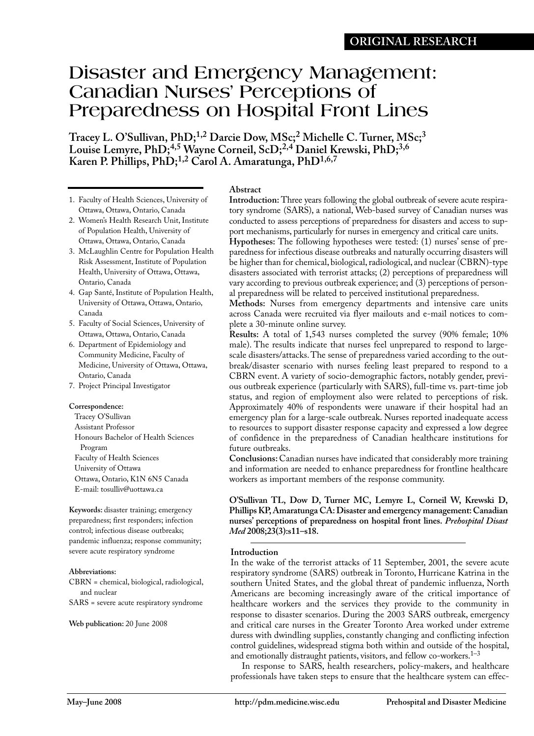# **Disaster and Emergency Management: Canadian Nurses' Perceptions of Preparedness on Hospital Front Lines**

**Tracey L. O'Sullivan, PhD;1,2 Darcie Dow, MSc;2 Michelle C. Turner, MSc;3 Louise Lemyre, PhD;4,5 Wayne Corneil, ScD;2,4 Daniel Krewski, PhD;3,6 Karen P. Phillips, PhD;1,2 Carol A. Amaratunga, PhD1,6,7**

- 1. Faculty of Health Sciences, University of Ottawa, Ottawa, Ontario, Canada
- 2. Women's Health Research Unit, Institute of Population Health, University of Ottawa, Ottawa, Ontario, Canada
- 3. McLaughlin Centre for Population Health Risk Assessment, Institute of Population Health, University of Ottawa, Ottawa, Ontario, Canada
- 4. Gap Santé, Institute of Population Health, University of Ottawa, Ottawa, Ontario, Canada
- 5. Faculty of Social Sciences, University of Ottawa, Ottawa, Ontario, Canada
- 6. Department of Epidemiology and Community Medicine, Faculty of Medicine, University of Ottawa, Ottawa, Ontario, Canada
- 7. Project Principal Investigator

## **Correspondence:**

Tracey O'Sullivan Assistant Professor Honours Bachelor of Health Sciences Program Faculty of Health Sciences University of Ottawa Ottawa, Ontario, K1N 6N5 Canada E-mail: tosulliv@uottawa.ca

**Keywords:** disaster training; emergency preparedness; first responders; infection control; infectious disease outbreaks; pandemic influenza; response community; severe acute respiratory syndrome

#### **Abbreviations:**

CBRN = chemical, biological, radiological, and nuclear

SARS = severe acute respiratory syndrome

**Web publication:** 20 June 2008

## **Abstract**

**Introduction:** Three years following the global outbreak of severe acute respiratory syndrome (SARS), a national, Web-based survey of Canadian nurses was conducted to assess perceptions of preparedness for disasters and access to support mechanisms, particularly for nurses in emergency and critical care units.

**Hypotheses:** The following hypotheses were tested: (1) nurses' sense of preparedness for infectious disease outbreaks and naturally occurring disasters will be higher than for chemical, biological, radiological, and nuclear (CBRN)-type disasters associated with terrorist attacks; (2) perceptions of preparedness will vary according to previous outbreak experience; and (3) perceptions of personal preparedness will be related to perceived institutional preparedness.

**Methods:** Nurses from emergency departments and intensive care units across Canada were recruited via flyer mailouts and e-mail notices to complete a 30-minute online survey.

**Results:** A total of 1,543 nurses completed the survey (90% female; 10% male). The results indicate that nurses feel unprepared to respond to largescale disasters/attacks. The sense of preparedness varied according to the outbreak/disaster scenario with nurses feeling least prepared to respond to a CBRN event. A variety of socio-demographic factors, notably gender, previous outbreak experience (particularly with SARS), full-time vs. part-time job status, and region of employment also were related to perceptions of risk. Approximately 40% of respondents were unaware if their hospital had an emergency plan for a large-scale outbreak. Nurses reported inadequate access to resources to support disaster response capacity and expressed a low degree of confidence in the preparedness of Canadian healthcare institutions for future outbreaks.

**Conclusions:** Canadian nurses have indicated that considerably more training and information are needed to enhance preparedness for frontline healthcare workers as important members of the response community.

**O'Sullivan TL, Dow D, Turner MC, Lemyre L, Corneil W, Krewski D, Phillips KP, Amaratunga CA: Disaster and emergency management: Canadian nurses' perceptions of preparedness on hospital front lines.** *Prehospital Disast Med* **2008;23(3):s11–s18.**

## **Introduction**

In the wake of the terrorist attacks of 11 September, 2001, the severe acute respiratory syndrome (SARS) outbreak in Toronto, Hurricane Katrina in the southern United States, and the global threat of pandemic influenza, North Americans are becoming increasingly aware of the critical importance of healthcare workers and the services they provide to the community in response to disaster scenarios. During the 2003 SARS outbreak, emergency and critical care nurses in the Greater Toronto Area worked under extreme duress with dwindling supplies, constantly changing and conflicting infection control guidelines, widespread stigma both within and outside of the hospital, and emotionally distraught patients, visitors, and fellow co-workers. $1-3$ 

In response to SARS, health researchers, policy-makers, and healthcare professionals have taken steps to ensure that the healthcare system can effec-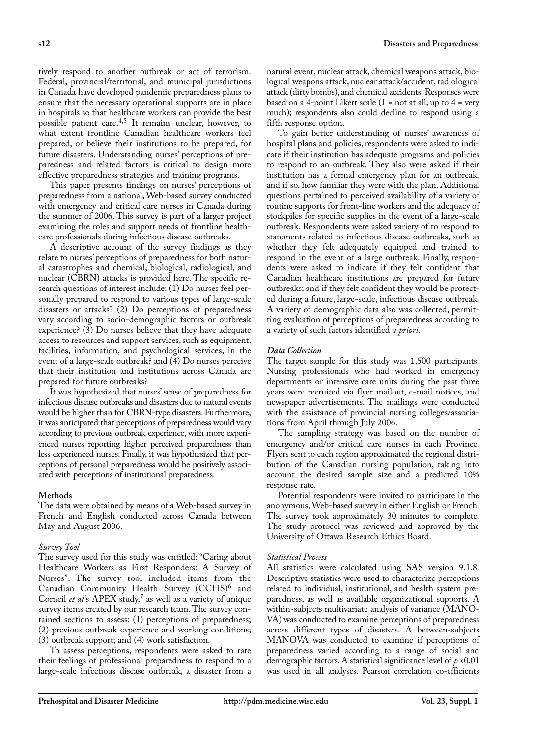tively respond to another outbreak or act of terrorism. Federal, provincial/territorial, and municipal jurisdictions in Canada have developed pandemic preparedness plans to ensure that the necessary operational supports are in place in hospitals so that healthcare workers can provide the best possible patient care.4,5 It remains unclear, however, to what extent frontline Canadian healthcare workers feel prepared, or believe their institutions to be prepared, for future disasters. Understanding nurses' perceptions of preparedness and related factors is critical to design more effective preparedness strategies and training programs.

This paper presents findings on nurses' perceptions of preparedness from a national, Web-based survey conducted with emergency and critical care nurses in Canada during the summer of 2006. This survey is part of a larger project examining the roles and support needs of frontline healthcare professionals during infectious disease outbreaks.

A descriptive account of the survey findings as they relate to nurses' perceptions of preparedness for both natural catastrophes and chemical, biological, radiological, and nuclear (CBRN) attacks is provided here. The specific research questions of interest include: (1) Do nurses feel personally prepared to respond to various types of large-scale disasters or attacks? (2) Do perceptions of preparedness vary according to socio-demographic factors or outbreak experience? (3) Do nurses believe that they have adequate access to resources and support services, such as equipment, facilities, information, and psychological services, in the event of a large-scale outbreak? and (4) Do nurses perceive that their institution and institutions across Canada are prepared for future outbreaks?

It was hypothesized that nurses' sense of preparedness for infectious disease outbreaks and disasters due to natural events would be higher than for CBRN-type disasters. Furthermore, it was anticipated that perceptions of preparedness would vary according to previous outbreak experience, with more experienced nurses reporting higher perceived preparedness than less experienced nurses. Finally, it was hypothesized that perceptions of personal preparedness would be positively associated with perceptions of institutional preparedness.

## **Methods**

The data were obtained by means of a Web-based survey in French and English conducted across Canada between May and August 2006.

## *Survey Tool*

The survey used for this study was entitled: "Caring about Healthcare Workers as First Responders: A Survey of Nurses". The survey tool included items from the Canadian Community Health Survey (CCHS)<sup>6</sup> and Corneil *et al's* APEX study,<sup>7</sup> as well as a variety of unique survey items created by our research team. The survey contained sections to assess: (1) perceptions of preparedness; (2) previous outbreak experience and working conditions; (3) outbreak support; and (4) work satisfaction.

To assess perceptions, respondents were asked to rate their feelings of professional preparedness to respond to a large-scale infectious disease outbreak, a disaster from a

natural event, nuclear attack, chemical weapons attack, biological weapons attack, nuclear attack/accident, radiological attack (dirty bombs), and chemical accidents. Responses were based on a 4-point Likert scale  $(1 = not at all, up to 4 = very$ much); respondents also could decline to respond using a fifth response option.

To gain better understanding of nurses' awareness of hospital plans and policies, respondents were asked to indicate if their institution has adequate programs and policies to respond to an outbreak. They also were asked if their institution has a formal emergency plan for an outbreak, and if so, how familiar they were with the plan. Additional questions pertained to perceived availability of a variety of routine supports for front-line workers and the adequacy of stockpiles for specific supplies in the event of a large-scale outbreak. Respondents were asked variety of to respond to statements related to infectious disease outbreaks, such as whether they felt adequately equipped and trained to respond in the event of a large outbreak. Finally, respondents were asked to indicate if they felt confident that Canadian healthcare institutions are prepared for future outbreaks; and if they felt confident they would be protected during a future, large-scale, infectious disease outbreak. A variety of demographic data also was collected, permitting evaluation of perceptions of preparedness according to a variety of such factors identified *a priori*.

## *Data Collection*

The target sample for this study was 1,500 participants. Nursing professionals who had worked in emergency departments or intensive care units during the past three years were recruited via flyer mailout, e-mail notices, and newspaper advertisements. The mailings were conducted with the assistance of provincial nursing colleges/associations from April through July 2006.

The sampling strategy was based on the number of emergency and/or critical care nurses in each Province. Flyers sent to each region approximated the regional distribution of the Canadian nursing population, taking into account the desired sample size and a predicted 10% response rate.

Potential respondents were invited to participate in the anonymous, Web-based survey in either English or French. The survey took approximately 30 minutes to complete. The study protocol was reviewed and approved by the University of Ottawa Research Ethics Board.

## *Statistical Process*

All statistics were calculated using SAS version 9.1.8. Descriptive statistics were used to characterize perceptions related to individual, institutional, and health system preparedness, as well as available organizational supports. A within-subjects multivariate analysis of variance (MANO-VA) was conducted to examine perceptions of preparedness across different types of disasters. A between-subjects MANOVA was conducted to examine if perceptions of preparedness varied according to a range of social and demographic factors. A statistical significance level of  $p \le 0.01$ was used in all analyses. Pearson correlation co-efficients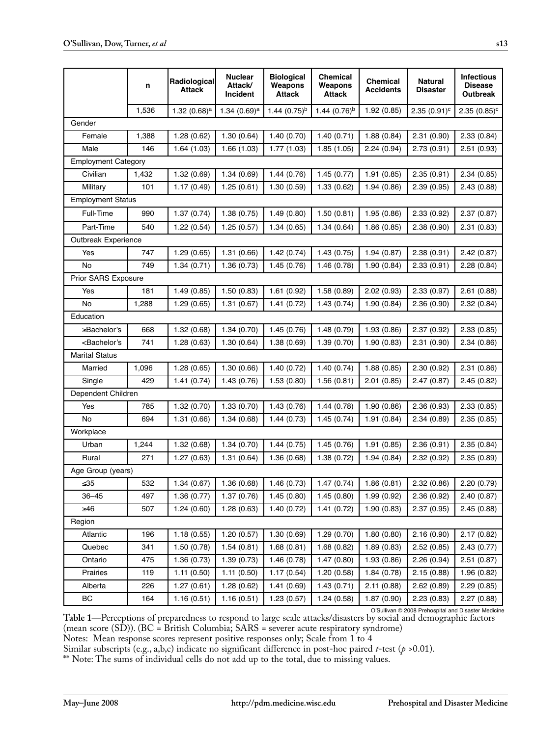|                                                                                                                                                                                    | n                        | Radiological<br>Attack | <b>Nuclear</b><br>Attack/<br><b>Incident</b> | <b>Biological</b><br>Weapons<br><b>Attack</b> | Chemical<br>Weapons<br><b>Attack</b> | Chemical<br><b>Accidents</b> | <b>Natural</b><br><b>Disaster</b> | <b>Infectious</b><br><b>Disease</b><br><b>Outbreak</b> |  |
|------------------------------------------------------------------------------------------------------------------------------------------------------------------------------------|--------------------------|------------------------|----------------------------------------------|-----------------------------------------------|--------------------------------------|------------------------------|-----------------------------------|--------------------------------------------------------|--|
|                                                                                                                                                                                    | 1,536                    | 1.32 $(0.68)^a$        | 1.34 $(0.69)^a$                              | 1.44 $(0.75)^{b}$                             | 1.44 $(0.76)^b$                      | 1.92(0.85)                   | $2.35(0.91)^c$                    | $2.35(0.85)^c$                                         |  |
| Gender                                                                                                                                                                             |                          |                        |                                              |                                               |                                      |                              |                                   |                                                        |  |
| Female                                                                                                                                                                             | 1,388                    | 1.28(0.62)             | 1.30(0.64)                                   | 1.40(0.70)                                    | 1.40(0.71)                           | 1.88(0.84)                   | 2.31(0.90)                        | 2.33(0.84)                                             |  |
| Male                                                                                                                                                                               | 146                      | 1.64(1.03)             | 1.66(1.03)                                   | 1.77(1.03)                                    | 1.85(1.05)                           | 2.24(0.94)                   | 2.73(0.91)                        | 2.51(0.93)                                             |  |
| <b>Employment Category</b>                                                                                                                                                         |                          |                        |                                              |                                               |                                      |                              |                                   |                                                        |  |
| Civilian                                                                                                                                                                           | 1,432                    | 1.32(0.69)             | 1.34(0.69)                                   | 1.44(0.76)                                    | 1.45(0.77)                           | 1.91(0.85)                   | 2.35(0.91)                        | 2.34(0.85)                                             |  |
| Military                                                                                                                                                                           | 101                      | 1.17(0.49)             | 1.25(0.61)                                   | 1.30(0.59)                                    | 1.33(0.62)                           | 1.94(0.86)                   | 2.39(0.95)                        | 2.43(0.88)                                             |  |
|                                                                                                                                                                                    | <b>Employment Status</b> |                        |                                              |                                               |                                      |                              |                                   |                                                        |  |
| Full-Time                                                                                                                                                                          | 990                      | 1.37(0.74)             | 1.38(0.75)                                   | 1.49(0.80)                                    | 1.50(0.81)                           | 1.95(0.86)                   | 2.33(0.92)                        | 2.37(0.87)                                             |  |
| Part-Time                                                                                                                                                                          | 540                      | 1.22(0.54)             | 1.25(0.57)                                   | 1.34(0.65)                                    | 1.34(0.64)                           | 1.86(0.85)                   | 2.38(0.90)                        | 2.31(0.83)                                             |  |
| Outbreak Experience                                                                                                                                                                |                          |                        |                                              |                                               |                                      |                              |                                   |                                                        |  |
| Yes                                                                                                                                                                                | 747                      | 1.29(0.65)             | 1.31(0.66)                                   | 1.42(0.74)                                    | 1.43(0.75)                           | 1.94(0.87)                   | 2.38(0.91)                        | 2.42(0.87)                                             |  |
| <b>No</b>                                                                                                                                                                          | 749                      | 1.34(0.71)             | 1.36(0.73)                                   | 1.45(0.76)                                    | 1.46(0.78)                           | 1.90(0.84)                   | 2.33(0.91)                        | 2.28(0.84)                                             |  |
| Prior SARS Exposure                                                                                                                                                                |                          |                        |                                              |                                               |                                      |                              |                                   |                                                        |  |
| Yes                                                                                                                                                                                | 181                      | 1.49(0.85)             | 1.50(0.83)                                   | 1.61(0.92)                                    | 1.58(0.89)                           | 2.02(0.93)                   | 2.33(0.97)                        | 2.61(0.88)                                             |  |
| No                                                                                                                                                                                 | 1,288                    | 1.29(0.65)             | 1.31(0.67)                                   | 1.41(0.72)                                    | 1.43(0.74)                           | 1.90(0.84)                   | 2.36(0.90)                        | 2.32(0.84)                                             |  |
| Education                                                                                                                                                                          |                          |                        |                                              |                                               |                                      |                              |                                   |                                                        |  |
| ≥Bachelor's                                                                                                                                                                        | 668                      | 1.32(0.68)             | 1.34(0.70)                                   | 1.45(0.76)                                    | 1.48(0.79)                           | 1.93(0.86)                   | 2.37(0.92)                        | 2.33(0.85)                                             |  |
| <bachelor's< td=""><td>741</td><td>1.28(0.63)</td><td>1.30(0.64)</td><td>1.38(0.69)</td><td>1.39(0.70)</td><td>1.90(0.83)</td><td>2.31(0.90)</td><td>2.34(0.86)</td></bachelor's<> | 741                      | 1.28(0.63)             | 1.30(0.64)                                   | 1.38(0.69)                                    | 1.39(0.70)                           | 1.90(0.83)                   | 2.31(0.90)                        | 2.34(0.86)                                             |  |
| <b>Marital Status</b>                                                                                                                                                              |                          |                        |                                              |                                               |                                      |                              |                                   |                                                        |  |
| Married                                                                                                                                                                            | 1,096                    | 1.28(0.65)             | 1.30(0.66)                                   | 1.40(0.72)                                    | 1.40(0.74)                           | 1.88(0.85)                   | 2.30(0.92)                        | 2.31(0.86)                                             |  |
| Single                                                                                                                                                                             | 429                      | 1.41(0.74)             | 1.43(0.76)                                   | 1.53(0.80)                                    | 1.56(0.81)                           | 2.01(0.85)                   | 2.47(0.87)                        | 2.45(0.82)                                             |  |
| Dependent Children                                                                                                                                                                 |                          |                        |                                              |                                               |                                      |                              |                                   |                                                        |  |
| Yes                                                                                                                                                                                | 785                      | 1.32(0.70)             | 1.33(0.70)                                   | 1.43(0.76)                                    | 1.44(0.78)                           | 1.90(0.86)                   | 2.36(0.93)                        | 2.33(0.85)                                             |  |
| No                                                                                                                                                                                 | 694                      | 1.31(0.66)             | 1.34(0.68)                                   | 1.44(0.73)                                    | 1.45(0.74)                           | 1.91(0.84)                   | 2.34(0.89)                        | 2.35(0.85)                                             |  |
| Workplace                                                                                                                                                                          |                          |                        |                                              |                                               |                                      |                              |                                   |                                                        |  |
| Urban                                                                                                                                                                              | 1,244                    | 1.32(0.68)             | 1.34(0.70)                                   | 1.44(0.75)                                    | 1.45(0.76)                           | 1.91(0.85)                   | 2.36(0.91)                        | 2.35(0.84)                                             |  |
| Rural                                                                                                                                                                              | 271                      | 1.27(0.63)             | 1.31(0.64)                                   | 1.36(0.68)                                    | 1.38(0.72)                           | 1.94(0.84)                   | 2.32(0.92)                        | 2.35(0.89)                                             |  |
| Age Group (years)                                                                                                                                                                  |                          |                        |                                              |                                               |                                      |                              |                                   |                                                        |  |
| ≤35                                                                                                                                                                                | 532                      | 1.34(0.67)             | 1.36(0.68)                                   | 1.46(0.73)                                    | 1.47(0.74)                           | 1.86(0.81)                   | 2.32(0.86)                        | 2.20(0.79)                                             |  |
| 36–45                                                                                                                                                                              | 497                      | 1.36(0.77)             | 1.37(0.76)                                   | 1.45(0.80)                                    | 1.45(0.80)                           | 1.99(0.92)                   | 2.36(0.92)                        | 2.40(0.87)                                             |  |
| ≥46                                                                                                                                                                                | 507                      | 1.24(0.60)             | 1.28(0.63)                                   | 1.40 (0.72)                                   | 1.41(0.72)                           | 1.90(0.83)                   | 2.37(0.95)                        | 2.45(0.88)                                             |  |
| Region                                                                                                                                                                             |                          |                        |                                              |                                               |                                      |                              |                                   |                                                        |  |
| Atlantic                                                                                                                                                                           | 196                      | 1.18(0.55)             | 1.20(0.57)                                   | 1.30(0.69)                                    | 1.29(0.70)                           | 1.80(0.80)                   | 2.16(0.90)                        | 2.17(0.82)                                             |  |
| Quebec                                                                                                                                                                             | 341                      | 1.50(0.78)             | 1.54(0.81)                                   | 1.68(0.81)                                    | 1.68(0.82)                           | 1.89(0.83)                   | 2.52(0.85)                        | 2.43(0.77)                                             |  |
| Ontario                                                                                                                                                                            | 475                      | 1.36(0.73)             | 1.39(0.73)                                   | 1.46 (0.78)                                   | 1.47(0.80)                           | 1.93(0.86)                   | 2.26(0.94)                        | 2.51(0.87)                                             |  |
| Prairies                                                                                                                                                                           | 119                      | 1.11(0.50)             | 1.11(0.50)                                   | 1.17(0.54)                                    | 1.20(0.58)                           | 1.84(0.78)                   | 2.15(0.88)                        | 1.96(0.82)                                             |  |
| Alberta                                                                                                                                                                            | 226                      | 1.27(0.61)             | 1.28(0.62)                                   | 1.41 (0.69)                                   | 1.43(0.71)                           | 2.11(0.88)                   | 2.62(0.89)                        | 2.29(0.85)                                             |  |
| BC                                                                                                                                                                                 | 164                      | 1.16(0.51)             | 1.16(0.51)                                   | 1.23(0.57)                                    | 1.24(0.58)                           | 1.87(0.90)                   | 2.23(0.83)                        | 2.27(0.88)                                             |  |

**Table 1**—Perceptions of preparedness to respond to large scale attacks/disasters by social and demographic factors (mean score (SD)). (BC = British Columbia; SARS = severer acute respiratory syndrome) O'Sullivan © 2008 Prehospital and Disaster Medicine

Notes: Mean response scores represent positive responses only; Scale from 1 to 4

Similar subscripts (e.g., a,b,c) indicate no significant difference in post-hoc paired *t*-test (*p* >0.01).

\*\* Note: The sums of individual cells do not add up to the total, due to missing values.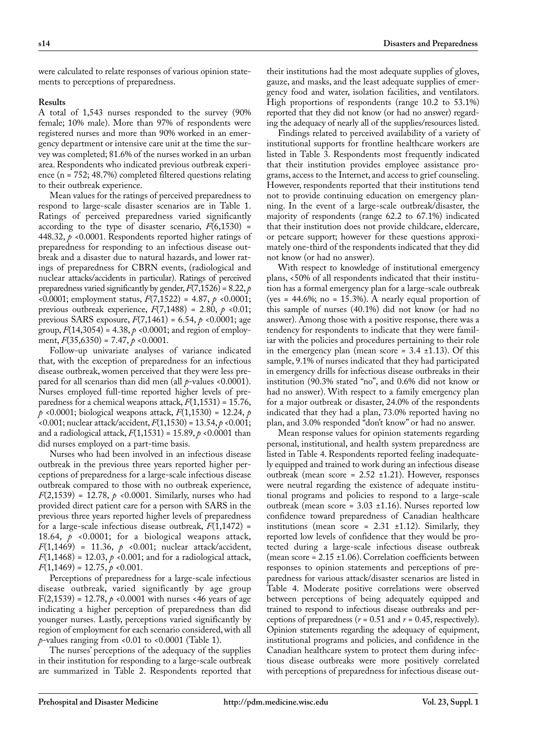were calculated to relate responses of various opinion statements to perceptions of preparedness.

## **Results**

A total of 1,543 nurses responded to the survey (90% female; 10% male). More than 97% of respondents were registered nurses and more than 90% worked in an emergency department or intensive care unit at the time the survey was completed; 81.6% of the nurses worked in an urban area. Respondents who indicated previous outbreak experience (n = 752; 48.7%) completed filtered questions relating to their outbreak experience.

Mean values for the ratings of perceived preparedness to respond to large-scale disaster scenarios are in Table 1. Ratings of perceived preparedness varied significantly according to the type of disaster scenario,  $F(6,1530)$  = 448.32, *p* <0.0001. Respondents reported higher ratings of preparedness for responding to an infectious disease outbreak and a disaster due to natural hazards, and lower ratings of preparedness for CBRN events, (radiological and nuclear attacks/accidents in particular). Ratings of perceived preparedness varied significantly by gender,  $F(7,1526) = 8.22$ ,  $p$ <0.0001; employment status, *F*(7,1522) = 4.87, *p* <0.0001; previous outbreak experience,  $F(7,1488) = 2.80$ ,  $p \le 0.01$ ; previous SARS exposure, *F*(7,1461) = 6.54, *p* <0.0001; age group,  $F(14,3054) = 4.38, p \le 0.0001$ ; and region of employment, *F*(35,6350) = 7.47, *p* <0.0001.

Follow-up univariate analyses of variance indicated that, with the exception of preparedness for an infectious disease outbreak, women perceived that they were less prepared for all scenarios than did men (all *p*-values <0.0001). Nurses employed full-time reported higher levels of preparedness for a chemical weapons attack, *F*(1,1531) = 15.76, *p* <0.0001; biological weapons attack, *F*(1,1530) = 12.24, *p* <0.001; nuclear attack/accident,*F*(1,1530) = 13.54, *p* <0.001; and a radiological attack,  $F(1,1531) = 15.89, p < 0.0001$  than did nurses employed on a part-time basis.

Nurses who had been involved in an infectious disease outbreak in the previous three years reported higher perceptions of preparedness for a large-scale infectious disease outbreak compared to those with no outbreak experience,  $F(2,1539) = 12.78, p \le 0.0001$ . Similarly, nurses who had provided direct patient care for a person with SARS in the previous three years reported higher levels of preparedness for a large-scale infectious disease outbreak, *F*(1,1472) = 18.64,  $p \leq 0.0001$ ; for a biological weapons attack, *F*(1,1469) = 11.36, *p* <0.001; nuclear attack/accident, *F*(1,1468) = 12.03, *p* <0.001; and for a radiological attack,  $F(1,1469) = 12.75, p \le 0.001.$ 

Perceptions of preparedness for a large-scale infectious disease outbreak, varied significantly by age group  $F(2,1539) = 12.78, p \le 0.0001$  with nurses <46 years of age indicating a higher perception of preparedness than did younger nurses. Lastly, perceptions varied significantly by region of employment for each scenario considered, with all  $p$ -values ranging from <0.01 to <0.0001 (Table 1).

The nurses' perceptions of the adequacy of the supplies in their institution for responding to a large-scale outbreak are summarized in Table 2. Respondents reported that

their institutions had the most adequate supplies of gloves, gauze, and masks, and the least adequate supplies of emergency food and water, isolation facilities, and ventilators. High proportions of respondents (range 10.2 to 53.1%) reported that they did not know (or had no answer) regarding the adequacy of nearly all of the supplies/resources listed.

Findings related to perceived availability of a variety of institutional supports for frontline healthcare workers are listed in Table 3. Respondents most frequently indicated that their institution provides employee assistance programs, access to the Internet, and access to grief counseling. However, respondents reported that their institutions tend not to provide continuing education on emergency planning. In the event of a large-scale outbreak/disaster, the majority of respondents (range 62.2 to 67.1%) indicated that their institution does not provide childcare, eldercare, or petcare support; however for these questions approximately one-third of the respondents indicated that they did not know (or had no answer).

With respect to knowledge of institutional emergency plans, <50% of all respondents indicated that their institution has a formal emergency plan for a large-scale outbreak (yes =  $44.6\%$ ; no =  $15.3\%$ ). A nearly equal proportion of this sample of nurses (40.1%) did not know (or had no answer). Among those with a positive response, there was a tendency for respondents to indicate that they were familiar with the policies and procedures pertaining to their role in the emergency plan (mean score =  $3.4 \pm 1.13$ ). Of this sample, 9.1% of nurses indicated that they had participated in emergency drills for infectious disease outbreaks in their institution (90.3% stated "no", and 0.6% did not know or had no answer). With respect to a family emergency plan for a major outbreak or disaster, 24.0% of the respondents indicated that they had a plan, 73.0% reported having no plan, and 3.0% responded "don't know" or had no answer.

Mean response values for opinion statements regarding personal, institutional, and health system preparedness are listed in Table 4. Respondents reported feeling inadequately equipped and trained to work during an infectious disease outbreak (mean score =  $2.52 \pm 1.21$ ). However, responses were neutral regarding the existence of adequate institutional programs and policies to respond to a large-scale outbreak (mean score =  $3.03 \pm 1.16$ ). Nurses reported low confidence toward preparedness of Canadian healthcare institutions (mean score =  $2.31 \pm 1.12$ ). Similarly, they reported low levels of confidence that they would be protected during a large-scale infectious disease outbreak (mean score =  $2.15 \pm 1.06$ ). Correlation coefficients between responses to opinion statements and perceptions of preparedness for various attack/disaster scenarios are listed in Table 4. Moderate positive correlations were observed between perceptions of being adequately equipped and trained to respond to infectious disease outbreaks and perceptions of preparedness ( $r = 0.51$  and  $r = 0.45$ , respectively). Opinion statements regarding the adequacy of equipment, institutional programs and policies, and confidence in the Canadian healthcare system to protect them during infectious disease outbreaks were more positively correlated with perceptions of preparedness for infectious disease out-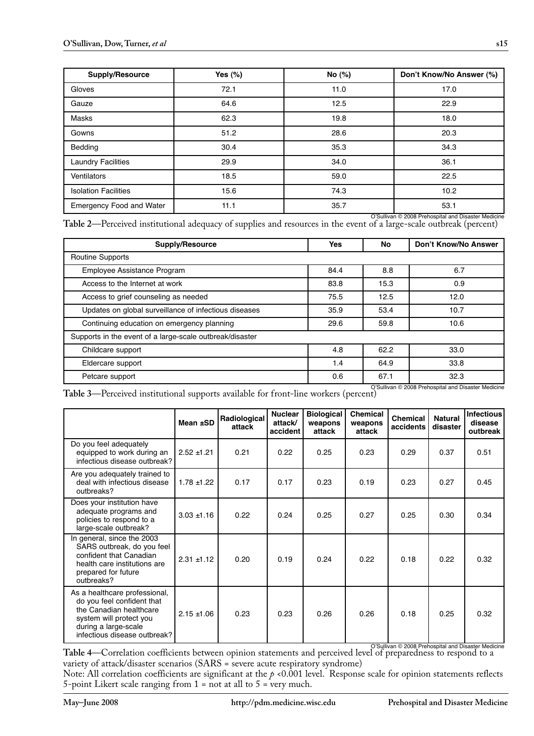| <b>Supply/Resource</b>          | Yes $(\%)$ | No $(\%)$ | Don't Know/No Answer (%) |  |
|---------------------------------|------------|-----------|--------------------------|--|
| Gloves                          | 72.1       | 11.0      | 17.0                     |  |
| Gauze                           | 64.6       | 12.5      | 22.9                     |  |
| Masks                           | 62.3       | 19.8      | 18.0                     |  |
| Gowns                           | 51.2       | 28.6      | 20.3                     |  |
| Bedding                         | 30.4       | 35.3      | 34.3                     |  |
| <b>Laundry Facilities</b>       | 29.9       | 34.0      | 36.1                     |  |
| Ventilators                     | 18.5       | 59.0      | 22.5                     |  |
| <b>Isolation Facilities</b>     | 15.6       | 74.3      | 10.2                     |  |
| <b>Emergency Food and Water</b> | 11.1       | 35.7      | 53.1                     |  |

**Table 2—Perceived institutional adequacy of supplies and resources in the event of a large-scale outbreak (percent)** 

| <b>Supply/Resource</b>                                   | Yes  | No   | Don't Know/No Answer                                                                                                             |  |  |
|----------------------------------------------------------|------|------|----------------------------------------------------------------------------------------------------------------------------------|--|--|
| <b>Routine Supports</b>                                  |      |      |                                                                                                                                  |  |  |
| Employee Assistance Program                              | 84.4 | 8.8  | 6.7                                                                                                                              |  |  |
| Access to the Internet at work                           | 83.8 | 15.3 | 0.9                                                                                                                              |  |  |
| Access to grief counseling as needed                     | 75.5 | 12.5 | 12.0                                                                                                                             |  |  |
| Updates on global surveillance of infectious diseases    | 35.9 | 53.4 | 10.7                                                                                                                             |  |  |
| Continuing education on emergency planning               | 29.6 | 59.8 | 10.6                                                                                                                             |  |  |
| Supports in the event of a large-scale outbreak/disaster |      |      |                                                                                                                                  |  |  |
| Childcare support                                        | 4.8  | 62.2 | 33.0                                                                                                                             |  |  |
| Eldercare support                                        | 1.4  | 64.9 | 33.8                                                                                                                             |  |  |
| Petcare support                                          | 0.6  | 67.1 | 32.3<br>$O(0.00)$ and $\odot$ $O(0.000)$ $D_{\text{sub}}$ is a set of $D_{\text{sub}}$ is a set of $M_{\text{sub}}$ distribution |  |  |

**Table 3**—Perceived institutional supports available for front-line workers (percent) O'Sullivan © 2008 Prehospital and Disaster Medicine

|                                                                                                                                                                           | Mean ±SD        | Radiological<br>attack | <b>Nuclear</b><br>attack/<br>accident | <b>Biological</b><br>weapons<br>attack | <b>Chemical</b><br>weapons<br>attack | <b>Chemical</b><br>accidents | <b>Natural</b><br>disaster | <b>Infectious</b><br>disease<br>outbreak |
|---------------------------------------------------------------------------------------------------------------------------------------------------------------------------|-----------------|------------------------|---------------------------------------|----------------------------------------|--------------------------------------|------------------------------|----------------------------|------------------------------------------|
| Do you feel adequately<br>equipped to work during an<br>infectious disease outbreak?                                                                                      | $2.52 + 1.21$   | 0.21                   | 0.22                                  | 0.25                                   | 0.23                                 | 0.29                         | 0.37                       | 0.51                                     |
| Are you adequately trained to<br>deal with infectious disease<br>outbreaks?                                                                                               | $1.78 \pm 1.22$ | 0.17                   | 0.17                                  | 0.23                                   | 0.19                                 | 0.23                         | 0.27                       | 0.45                                     |
| Does your institution have<br>adequate programs and<br>policies to respond to a<br>large-scale outbreak?                                                                  | $3.03 + 1.16$   | 0.22                   | 0.24                                  | 0.25                                   | 0.27                                 | 0.25                         | 0.30                       | 0.34                                     |
| In general, since the 2003<br>SARS outbreak, do you feel<br>confident that Canadian<br>health care institutions are<br>prepared for future<br>outbreaks?                  | $2.31 + 1.12$   | 0.20                   | 0.19                                  | 0.24                                   | 0.22                                 | 0.18                         | 0.22                       | 0.32                                     |
| As a healthcare professional,<br>do you feel confident that<br>the Canadian healthcare<br>system will protect you<br>during a large-scale<br>infectious disease outbreak? | $2.15 \pm 1.06$ | 0.23                   | 0.23                                  | 0.26                                   | 0.26                                 | 0.18                         | 0.25                       | 0.32                                     |

o'Sullivan © 2008 Prehospital and Disaster Medicine<br>Table 4—Correlation coefficients between opinion statements and perceived level of preparedness to respond to a variety of attack/disaster scenarios (SARS = severe acute respiratory syndrome)

Note: All correlation coefficients are significant at the  $p \triangleleft 0.001$  level. Response scale for opinion statements reflects 5-point Likert scale ranging from  $1 = not$  at all to  $5 = very$  much.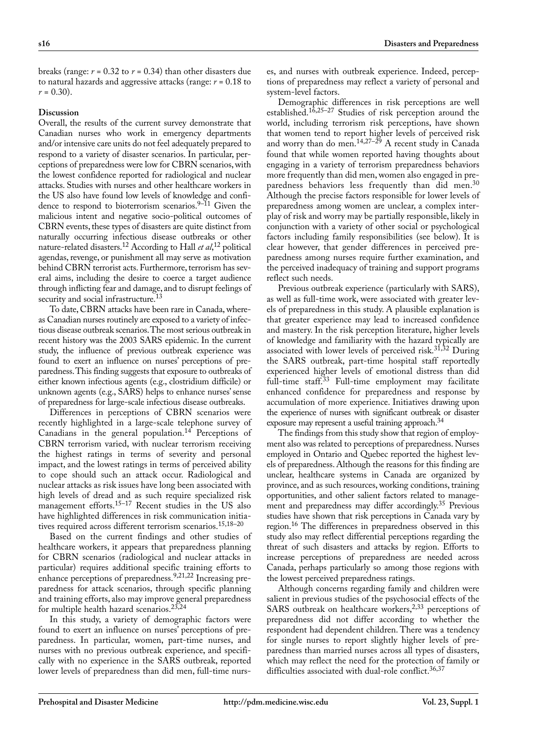breaks (range:  $r = 0.32$  to  $r = 0.34$ ) than other disasters due to natural hazards and aggressive attacks (range: *r* = 0.18 to  $r = 0.30$ .

## **Discussion**

Overall, the results of the current survey demonstrate that Canadian nurses who work in emergency departments and/or intensive care units do not feel adequately prepared to respond to a variety of disaster scenarios. In particular, perceptions of preparedness were low for CBRN scenarios, with the lowest confidence reported for radiological and nuclear attacks. Studies with nurses and other healthcare workers in the US also have found low levels of knowledge and confidence to respond to bioterrorism scenarios.<sup>9–11</sup> Given the malicious intent and negative socio-political outcomes of CBRN events, these types of disasters are quite distinct from naturally occurring infectious disease outbreaks or other nature-related disasters.12 According to Hall *et al*, <sup>12</sup> political agendas, revenge, or punishment all may serve as motivation behind CBRN terrorist acts. Furthermore, terrorism has several aims, including the desire to coerce a target audience through inflicting fear and damage, and to disrupt feelings of security and social infrastructure.<sup>13</sup>

To date, CBRN attacks have been rare in Canada, whereas Canadian nurses routinely are exposed to a variety of infectious disease outbreak scenarios.The most serious outbreak in recent history was the 2003 SARS epidemic. In the current study, the influence of previous outbreak experience was found to exert an influence on nurses' perceptions of preparedness.This finding suggests that exposure to outbreaks of either known infectious agents (e.g., clostridium difficile) or unknown agents (e.g., SARS) helps to enhance nurses' sense of preparedness for large-scale infectious disease outbreaks.

Differences in perceptions of CBRN scenarios were recently highlighted in a large-scale telephone survey of Canadians in the general population.14 Perceptions of CBRN terrorism varied, with nuclear terrorism receiving the highest ratings in terms of severity and personal impact, and the lowest ratings in terms of perceived ability to cope should such an attack occur. Radiological and nuclear attacks as risk issues have long been associated with high levels of dread and as such require specialized risk management efforts.<sup>15–17</sup> Recent studies in the US also have highlighted differences in risk communication initiatives required across different terrorism scenarios.15,18–20

Based on the current findings and other studies of healthcare workers, it appears that preparedness planning for CBRN scenarios (radiological and nuclear attacks in particular) requires additional specific training efforts to enhance perceptions of preparedness.<sup>9,21,22</sup> Increasing preparedness for attack scenarios, through specific planning and training efforts, also may improve general preparedness for multiple health hazard scenarios.23,24

In this study, a variety of demographic factors were found to exert an influence on nurses' perceptions of preparedness. In particular, women, part-time nurses, and nurses with no previous outbreak experience, and specifically with no experience in the SARS outbreak, reported lower levels of preparedness than did men, full-time nurses, and nurses with outbreak experience. Indeed, perceptions of preparedness may reflect a variety of personal and system-level factors.

Demographic differences in risk perceptions are well established.16,25–27 Studies of risk perception around the world, including terrorism risk perceptions, have shown that women tend to report higher levels of perceived risk and worry than do men.<sup>14,27–29</sup> A recent study in Canada found that while women reported having thoughts about engaging in a variety of terrorism preparedness behaviors more frequently than did men, women also engaged in preparedness behaviors less frequently than did men.<sup>30</sup> Although the precise factors responsible for lower levels of preparedness among women are unclear, a complex interplay of risk and worry may be partially responsible, likely in conjunction with a variety of other social or psychological factors including family responsibilities (see below). It is clear however, that gender differences in perceived preparedness among nurses require further examination, and the perceived inadequacy of training and support programs reflect such needs.

Previous outbreak experience (particularly with SARS), as well as full-time work, were associated with greater levels of preparedness in this study. A plausible explanation is that greater experience may lead to increased confidence and mastery. In the risk perception literature, higher levels of knowledge and familiarity with the hazard typically are associated with lower levels of perceived risk.<sup>31,32</sup> During the SARS outbreak, part-time hospital staff reportedly experienced higher levels of emotional distress than did full-time staff. <sup>33</sup> Full-time employment may facilitate enhanced confidence for preparedness and response by accumulation of more experience. Initiatives drawing upon the experience of nurses with significant outbreak or disaster exposure may represent a useful training approach.<sup>34</sup>

The findings from this study show that region of employment also was related to perceptions of preparedness. Nurses employed in Ontario and Quebec reported the highest levels of preparedness. Although the reasons for this finding are unclear, healthcare systems in Canada are organized by province, and as such resources, working conditions, training opportunities, and other salient factors related to management and preparedness may differ accordingly.35 Previous studies have shown that risk perceptions in Canada vary by region.16 The differences in preparedness observed in this study also may reflect differential perceptions regarding the threat of such disasters and attacks by region. Efforts to increase perceptions of preparedness are needed across Canada, perhaps particularly so among those regions with the lowest perceived preparedness ratings.

Although concerns regarding family and children were salient in previous studies of the psychosocial effects of the SARS outbreak on healthcare workers, $2,33$  perceptions of preparedness did not differ according to whether the respondent had dependent children. There was a tendency for single nurses to report slightly higher levels of preparedness than married nurses across all types of disasters, which may reflect the need for the protection of family or difficulties associated with dual-role conflict.36,37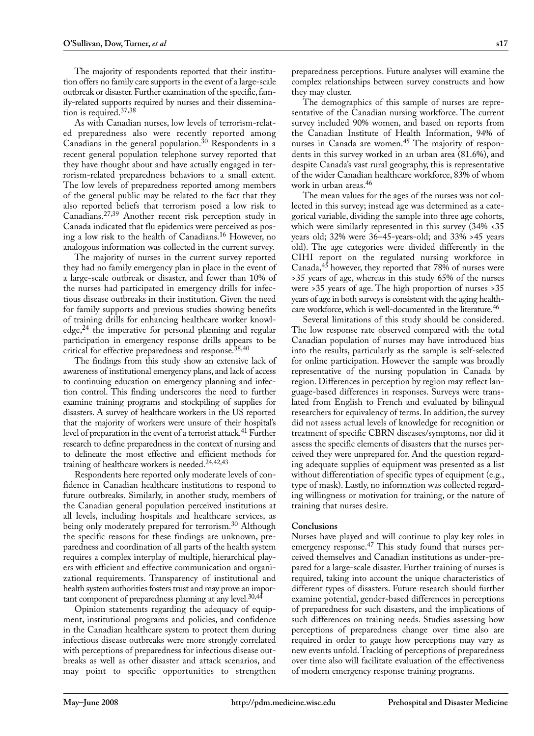The majority of respondents reported that their institution offers no family care supports in the event of a large-scale outbreak or disaster. Further examination of the specific, family-related supports required by nurses and their dissemination is required.37,38

As with Canadian nurses, low levels of terrorism-related preparedness also were recently reported among Canadians in the general population. $30$  Respondents in a recent general population telephone survey reported that they have thought about and have actually engaged in terrorism-related preparedness behaviors to a small extent. The low levels of preparedness reported among members of the general public may be related to the fact that they also reported beliefs that terrorism posed a low risk to Canadians.27,39 Another recent risk perception study in Canada indicated that flu epidemics were perceived as posing a low risk to the health of Canadians.16 However, no analogous information was collected in the current survey.

The majority of nurses in the current survey reported they had no family emergency plan in place in the event of a large-scale outbreak or disaster, and fewer than 10% of the nurses had participated in emergency drills for infectious disease outbreaks in their institution. Given the need for family supports and previous studies showing benefits of training drills for enhancing healthcare worker knowl $edge<sup>24</sup>$  the imperative for personal planning and regular participation in emergency response drills appears to be critical for effective preparedness and response.<sup>38,40</sup>

The findings from this study show an extensive lack of awareness of institutional emergency plans, and lack of access to continuing education on emergency planning and infection control. This finding underscores the need to further examine training programs and stockpiling of supplies for disasters. A survey of healthcare workers in the US reported that the majority of workers were unsure of their hospital's level of preparation in the event of a terrorist attack.<sup>41</sup> Further research to define preparedness in the context of nursing and to delineate the most effective and efficient methods for training of healthcare workers is needed.24,42,43

Respondents here reported only moderate levels of confidence in Canadian healthcare institutions to respond to future outbreaks. Similarly, in another study, members of the Canadian general population perceived institutions at all levels, including hospitals and healthcare services, as being only moderately prepared for terrorism.<sup>30</sup> Although the specific reasons for these findings are unknown, preparedness and coordination of all parts of the health system requires a complex interplay of multiple, hierarchical players with efficient and effective communication and organizational requirements. Transparency of institutional and health system authorities fosters trust and may prove an important component of preparedness planning at any level.<sup>30,44</sup>

Opinion statements regarding the adequacy of equipment, institutional programs and policies, and confidence in the Canadian healthcare system to protect them during infectious disease outbreaks were more strongly correlated with perceptions of preparedness for infectious disease outbreaks as well as other disaster and attack scenarios, and may point to specific opportunities to strengthen preparedness perceptions. Future analyses will examine the complex relationships between survey constructs and how they may cluster.

The demographics of this sample of nurses are representative of the Canadian nursing workforce. The current survey included 90% women, and based on reports from the Canadian Institute of Health Information, 94% of nurses in Canada are women.<sup>45</sup> The majority of respondents in this survey worked in an urban area (81.6%), and despite Canada's vast rural geography, this is representative of the wider Canadian healthcare workforce, 83% of whom work in urban areas.46

The mean values for the ages of the nurses was not collected in this survey; instead age was determined as a categorical variable, dividing the sample into three age cohorts, which were similarly represented in this survey (34% <35 years old; 32% were 36–45-years-old; and 33% >45 years old). The age categories were divided differently in the CIHI report on the regulated nursing workforce in Canada,<sup>45</sup> however, they reported that 78% of nurses were >35 years of age, whereas in this study 65% of the nurses were >35 years of age. The high proportion of nurses >35 years of age in both surveys is consistent with the aging healthcare workforce, which is well-documented in the literature.<sup>46</sup>

Several limitations of this study should be considered. The low response rate observed compared with the total Canadian population of nurses may have introduced bias into the results, particularly as the sample is self-selected for online participation. However the sample was broadly representative of the nursing population in Canada by region. Differences in perception by region may reflect language-based differences in responses. Surveys were translated from English to French and evaluated by bilingual researchers for equivalency of terms.In addition, the survey did not assess actual levels of knowledge for recognition or treatment of specific CBRN diseases/symptoms, nor did it assess the specific elements of disasters that the nurses perceived they were unprepared for. And the question regarding adequate supplies of equipment was presented as a list without differentiation of specific types of equipment (e.g., type of mask). Lastly, no information was collected regarding willingness or motivation for training, or the nature of training that nurses desire.

## **Conclusions**

Nurses have played and will continue to play key roles in emergency response.<sup>47</sup> This study found that nurses perceived themselves and Canadian institutions as under-prepared for a large-scale disaster. Further training of nurses is required, taking into account the unique characteristics of different types of disasters. Future research should further examine potential, gender-based differences in perceptions of preparedness for such disasters, and the implications of such differences on training needs. Studies assessing how perceptions of preparedness change over time also are required in order to gauge how perceptions may vary as new events unfold.Tracking of perceptions of preparedness over time also will facilitate evaluation of the effectiveness of modern emergency response training programs.